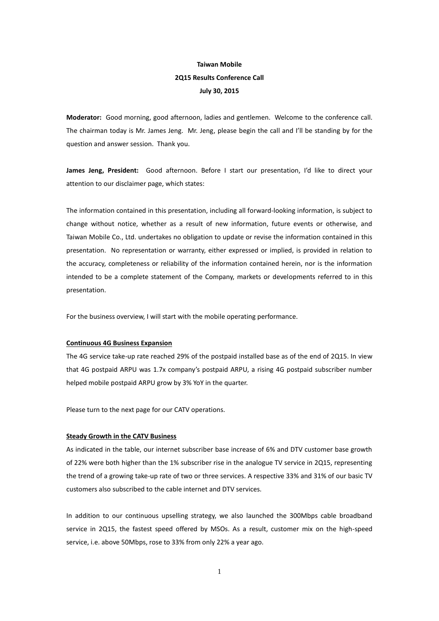# **Taiwan Mobile 2Q15 Results Conference Call July 30, 2015**

**Moderator:** Good morning, good afternoon, ladies and gentlemen. Welcome to the conference call. The chairman today is Mr. James Jeng. Mr. Jeng, please begin the call and I'll be standing by for the question and answer session. Thank you.

**James Jeng, President:** Good afternoon. Before I start our presentation, I'd like to direct your attention to our disclaimer page, which states:

The information contained in this presentation, including all forward-looking information, is subject to change without notice, whether as a result of new information, future events or otherwise, and Taiwan Mobile Co., Ltd. undertakes no obligation to update or revise the information contained in this presentation. No representation or warranty, either expressed or implied, is provided in relation to the accuracy, completeness or reliability of the information contained herein, nor is the information intended to be a complete statement of the Company, markets or developments referred to in this presentation.

For the business overview, I will start with the mobile operating performance.

## **Continuous 4G Business Expansion**

The 4G service take-up rate reached 29% of the postpaid installed base as of the end of 2Q15. In view that 4G postpaid ARPU was 1.7x company's postpaid ARPU, a rising 4G postpaid subscriber number helped mobile postpaid ARPU grow by 3% YoY in the quarter.

Please turn to the next page for our CATV operations.

#### **Steady Growth in the CATV Business**

As indicated in the table, our internet subscriber base increase of 6% and DTV customer base growth of 22% were both higher than the 1% subscriber rise in the analogue TV service in 2Q15, representing the trend of a growing take-up rate of two or three services. A respective 33% and 31% of our basic TV customers also subscribed to the cable internet and DTV services.

In addition to our continuous upselling strategy, we also launched the 300Mbps cable broadband service in 2Q15, the fastest speed offered by MSOs. As a result, customer mix on the high-speed service, i.e. above 50Mbps, rose to 33% from only 22% a year ago.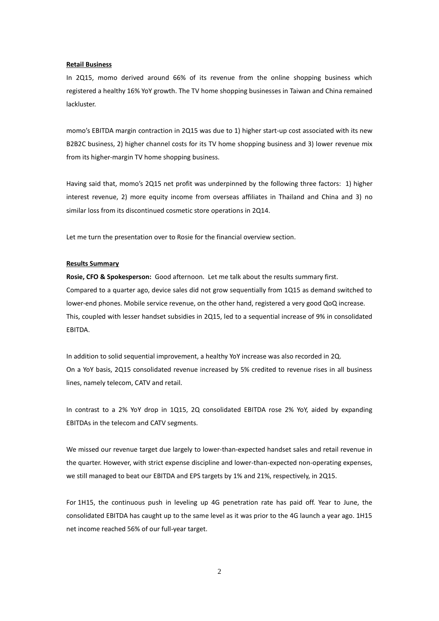#### **Retail Business**

In 2Q15, momo derived around 66% of its revenue from the online shopping business which registered a healthy 16% YoY growth. The TV home shopping businesses in Taiwan and China remained lackluster.

momo's EBITDA margin contraction in 2Q15 was due to 1) higher start-up cost associated with its new B2B2C business, 2) higher channel costs for its TV home shopping business and 3) lower revenue mix from its higher-margin TV home shopping business.

Having said that, momo's 2Q15 net profit was underpinned by the following three factors: 1) higher interest revenue, 2) more equity income from overseas affiliates in Thailand and China and 3) no similar loss from its discontinued cosmetic store operations in 2Q14.

Let me turn the presentation over to Rosie for the financial overview section.

#### **Results Summary**

**Rosie, CFO & Spokesperson:** Good afternoon. Let me talk about the results summary first. Compared to a quarter ago, device sales did not grow sequentially from 1Q15 as demand switched to lower-end phones. Mobile service revenue, on the other hand, registered a very good QoQ increase. This, coupled with lesser handset subsidies in 2Q15, led to a sequential increase of 9% in consolidated EBITDA.

In addition to solid sequential improvement, a healthy YoY increase was also recorded in 2Q. On a YoY basis, 2Q15 consolidated revenue increased by 5% credited to revenue rises in all business lines, namely telecom, CATV and retail.

In contrast to a 2% YoY drop in 1Q15, 2Q consolidated EBITDA rose 2% YoY, aided by expanding EBITDAs in the telecom and CATV segments.

We missed our revenue target due largely to lower-than-expected handset sales and retail revenue in the quarter. However, with strict expense discipline and lower-than-expected non-operating expenses, we still managed to beat our EBITDA and EPS targets by 1% and 21%, respectively, in 2Q15.

For 1H15, the continuous push in leveling up 4G penetration rate has paid off. Year to June, the consolidated EBITDA has caught up to the same level as it was prior to the 4G launch a year ago. 1H15 net income reached 56% of our full-year target.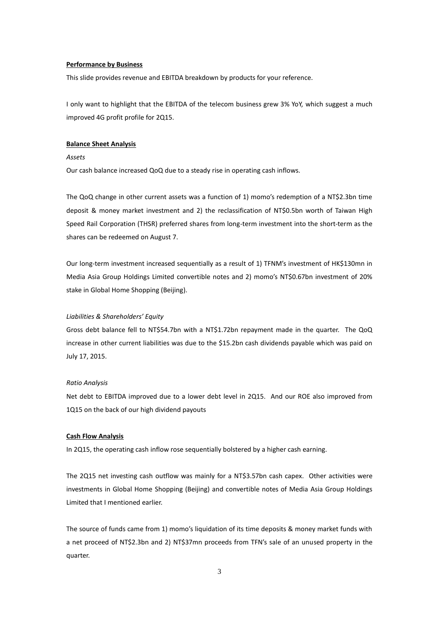## **Performance by Business**

This slide provides revenue and EBITDA breakdown by products for your reference.

I only want to highlight that the EBITDA of the telecom business grew 3% YoY, which suggest a much improved 4G profit profile for 2Q15.

## **Balance Sheet Analysis**

# *Assets*

Our cash balance increased QoQ due to a steady rise in operating cash inflows.

The QoQ change in other current assets was a function of 1) momo's redemption of a NT\$2.3bn time deposit & money market investment and 2) the reclassification of NT\$0.5bn worth of Taiwan High Speed Rail Corporation (THSR) preferred shares from long-term investment into the short-term as the shares can be redeemed on August 7.

Our long-term investment increased sequentially as a result of 1) TFNM's investment of HK\$130mn in Media Asia Group Holdings Limited convertible notes and 2) momo's NT\$0.67bn investment of 20% stake in Global Home Shopping (Beijing).

## *Liabilities & Shareholders' Equity*

Gross debt balance fell to NT\$54.7bn with a NT\$1.72bn repayment made in the quarter. The QoQ increase in other current liabilities was due to the \$15.2bn cash dividends payable which was paid on July 17, 2015.

## *Ratio Analysis*

Net debt to EBITDA improved due to a lower debt level in 2Q15. And our ROE also improved from 1Q15 on the back of our high dividend payouts

#### **Cash Flow Analysis**

In 2Q15, the operating cash inflow rose sequentially bolstered by a higher cash earning.

The 2Q15 net investing cash outflow was mainly for a NT\$3.57bn cash capex. Other activities were investments in Global Home Shopping (Beijing) and convertible notes of Media Asia Group Holdings Limited that I mentioned earlier.

The source of funds came from 1) momo's liquidation of its time deposits & money market funds with a net proceed of NT\$2.3bn and 2) NT\$37mn proceeds from TFN's sale of an unused property in the quarter.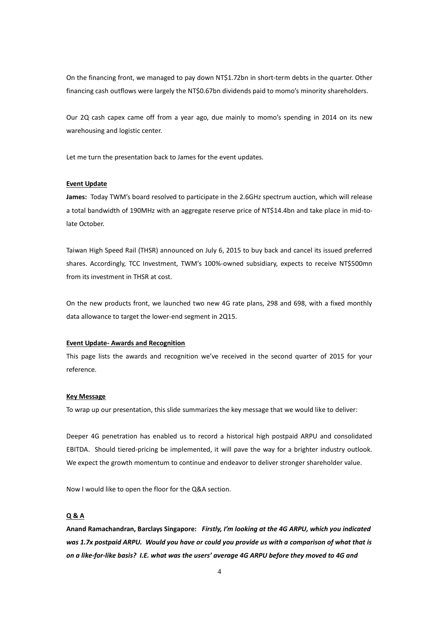On the financing front, we managed to pay down NT\$1.72bn in short-term debts in the quarter. Other financing cash outflows were largely the NT\$0.67bn dividends paid to momo's minority shareholders.

Our 2Q cash capex came off from a year ago, due mainly to momo's spending in 2014 on its new warehousing and logistic center.

Let me turn the presentation back to James for the event updates.

## **Event Update**

**James:** Today TWM's board resolved to participate in the 2.6GHz spectrum auction, which will release a total bandwidth of 190MHz with an aggregate reserve price of NT\$14.4bn and take place in mid-tolate October.

Taiwan High Speed Rail (THSR) announced on July 6, 2015 to buy back and cancel its issued preferred shares. Accordingly, TCC Investment, TWM's 100%-owned subsidiary, expects to receive NT\$500mn from its investment in THSR at cost.

On the new products front, we launched two new 4G rate plans, 298 and 698, with a fixed monthly data allowance to target the lower-end segment in 2Q15.

#### **Event Update- Awards and Recognition**

This page lists the awards and recognition we've received in the second quarter of 2015 for your reference.

## **Key Message**

To wrap up our presentation, this slide summarizes the key message that we would like to deliver:

Deeper 4G penetration has enabled us to record a historical high postpaid ARPU and consolidated EBITDA. Should tiered-pricing be implemented, it will pave the way for a brighter industry outlook. We expect the growth momentum to continue and endeavor to deliver stronger shareholder value.

Now I would like to open the floor for the Q&A section.

# **Q & A**

**Anand Ramachandran, Barclays Singapore:** *Firstly, I'm looking at the 4G ARPU, which you indicated was 1.7x postpaid ARPU. Would you have or could you provide us with a comparison of what that is on a like-for-like basis? I.E. what was the users' average 4G ARPU before they moved to 4G and*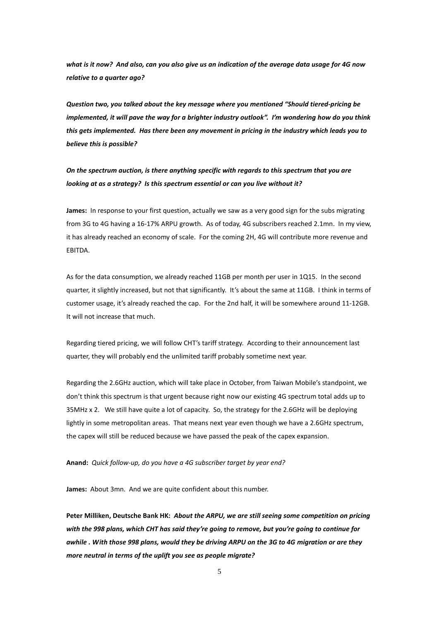*what is it now? And also, can you also give us an indication of the average data usage for 4G now relative to a quarter ago?*

*Question two, you talked about the key message where you mentioned "Should tiered-pricing be implemented, it will pave the way for a brighter industry outlook". I'm wondering how do you think this gets implemented. Has there been any movement in pricing in the industry which leads you to believe this is possible?*

*On the spectrum auction, is there anything specific with regards to this spectrum that you are looking at as a strategy? Is this spectrum essential or can you live without it?*

**James:** In response to your first question, actually we saw as a very good sign for the subs migrating from 3G to 4G having a 16-17% ARPU growth. As of today, 4G subscribers reached 2.1mn. In my view, it has already reached an economy of scale. For the coming 2H, 4G will contribute more revenue and EBITDA.

As for the data consumption, we already reached 11GB per month per user in 1Q15. In the second quarter, it slightly increased, but not that significantly. It's about the same at 11GB. I think in terms of customer usage, it's already reached the cap. For the 2nd half, it will be somewhere around 11-12GB. It will not increase that much.

Regarding tiered pricing, we will follow CHT's tariff strategy. According to their announcement last quarter, they will probably end the unlimited tariff probably sometime next year.

Regarding the 2.6GHz auction, which will take place in October, from Taiwan Mobile's standpoint, we don't think this spectrum is that urgent because right now our existing 4G spectrum total adds up to 35MHz x 2. We still have quite a lot of capacity. So, the strategy for the 2.6GHz will be deploying lightly in some metropolitan areas. That means next year even though we have a 2.6GHz spectrum, the capex will still be reduced because we have passed the peak of the capex expansion.

**Anand:** *Quick follow-up, do you have a 4G subscriber target by year end?*

**James:** About 3mn. And we are quite confident about this number.

**Peter Milliken, Deutsche Bank HK:** *About the ARPU, we are still seeing some competition on pricing with the 998 plans, which CHT has said they're going to remove, but you're going to continue for awhile . With those 998 plans, would they be driving ARPU on the 3G to 4G migration or are they more neutral in terms of the uplift you see as people migrate?*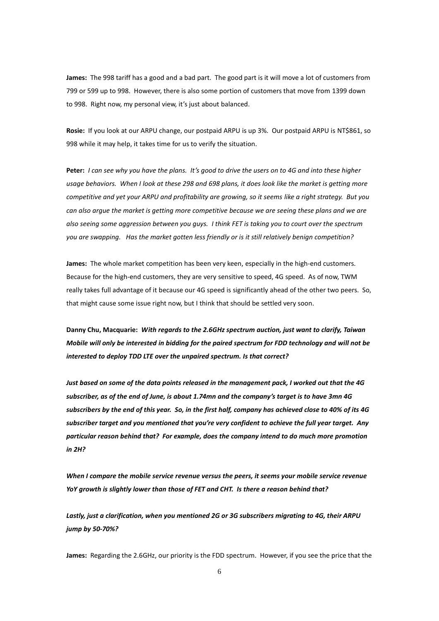**James:** The 998 tariff has a good and a bad part. The good part is it will move a lot of customers from 799 or 599 up to 998. However, there is also some portion of customers that move from 1399 down to 998. Right now, my personal view, it's just about balanced.

**Rosie:** If you look at our ARPU change, our postpaid ARPU is up 3%. Our postpaid ARPU is NT\$861, so 998 while it may help, it takes time for us to verify the situation.

**Peter:** *I can see why you have the plans. It's good to drive the users on to 4G and into these higher usage behaviors. When I look at these 298 and 698 plans, it does look like the market is getting more competitive and yet your ARPU and profitability are growing, so it seems like a right strategy. But you can also argue the market is getting more competitive because we are seeing these plans and we are also seeing some aggression between you guys. I think FET is taking you to court over the spectrum you are swapping. Has the market gotten less friendly or is it still relatively benign competition?*

**James:** The whole market competition has been very keen, especially in the high-end customers. Because for the high-end customers, they are very sensitive to speed, 4G speed. As of now, TWM really takes full advantage of it because our 4G speed is significantly ahead of the other two peers. So, that might cause some issue right now, but I think that should be settled very soon.

**Danny Chu, Macquarie:** *With regards to the 2.6GHz spectrum auction, just want to clarify, Taiwan Mobile will only be interested in bidding for the paired spectrum for FDD technology and will not be interested to deploy TDD LTE over the unpaired spectrum. Is that correct?*

*Just based on some of the data points released in the management pack, I worked out that the 4G subscriber, as of the end of June, is about 1.74mn and the company's target is to have 3mn 4G subscribers by the end of this year. So, in the first half, company has achieved close to 40% of its 4G subscriber target and you mentioned that you're very confident to achieve the full year target. Any particular reason behind that? For example, does the company intend to do much more promotion in 2H?*

*When I compare the mobile service revenue versus the peers, it seems your mobile service revenue YoY growth is slightly lower than those of FET and CHT. Is there a reason behind that?*

*Lastly, just a clarification, when you mentioned 2G or 3G subscribers migrating to 4G, their ARPU jump by 50-70%?*

**James:** Regarding the 2.6GHz, our priority is the FDD spectrum. However, if you see the price that the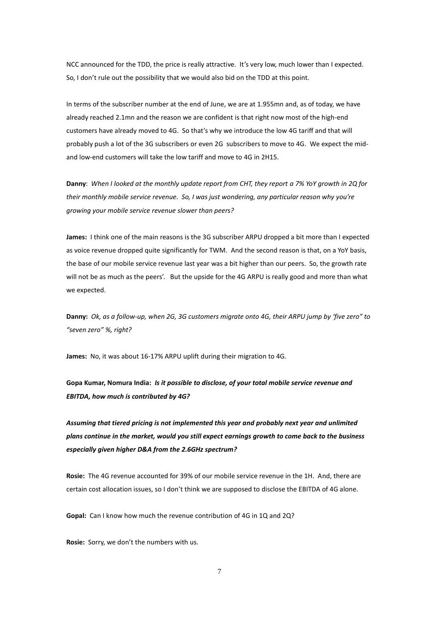NCC announced for the TDD, the price is really attractive. It's very low, much lower than I expected. So, I don't rule out the possibility that we would also bid on the TDD at this point.

In terms of the subscriber number at the end of June, we are at 1.955mn and, as of today, we have already reached 2.1mn and the reason we are confident is that right now most of the high-end customers have already moved to 4G. So that's why we introduce the low 4G tariff and that will probably push a lot of the 3G subscribers or even 2G subscribers to move to 4G. We expect the midand low-end customers will take the low tariff and move to 4G in 2H15.

**Danny**: *When I looked at the monthly update report from CHT, they report a 7% YoY growth in 2Q for their monthly mobile service revenue. So, I was just wondering, any particular reason why you're growing your mobile service revenue slower than peers?*

**James:** I think one of the main reasons is the 3G subscriber ARPU dropped a bit more than I expected as voice revenue dropped quite significantly for TWM. And the second reason is that, on a YoY basis, the base of our mobile service revenue last year was a bit higher than our peers. So, the growth rate will not be as much as the peers'. But the upside for the 4G ARPU is really good and more than what we expected.

**Danny:** *Ok, as a follow-up, when 2G, 3G customers migrate onto 4G, their ARPU jump by 'five zero" to "seven zero" %, right?*

**James:** No, it was about 16-17% ARPU uplift during their migration to 4G.

**Gopa Kumar, Nomura India:** *Is it possible to disclose, of your total mobile service revenue and EBITDA, how much is contributed by 4G?*

*Assuming that tiered pricing is not implemented this year and probably next year and unlimited plans continue in the market, would you still expect earnings growth to come back to the business especially given higher D&A from the 2.6GHz spectrum?* 

**Rosie:** The 4G revenue accounted for 39% of our mobile service revenue in the 1H. And, there are certain cost allocation issues, so I don't think we are supposed to disclose the EBITDA of 4G alone.

**Gopal:** Can I know how much the revenue contribution of 4G in 1Q and 2Q?

**Rosie:** Sorry, we don't the numbers with us.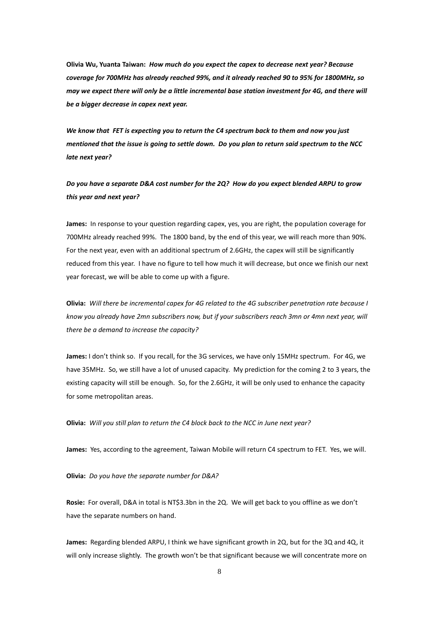**Olivia Wu, Yuanta Taiwan:** *How much do you expect the capex to decrease next year? Because coverage for 700MHz has already reached 99%, and it already reached 90 to 95% for 1800MHz, so may we expect there will only be a little incremental base station investment for 4G, and there will be a bigger decrease in capex next year.*

*We know that FET is expecting you to return the C4 spectrum back to them and now you just mentioned that the issue is going to settle down. Do you plan to return said spectrum to the NCC late next year?*

*Do you have a separate D&A cost number for the 2Q? How do you expect blended ARPU to grow this year and next year?*

**James:** In response to your question regarding capex, yes, you are right, the population coverage for 700MHz already reached 99%. The 1800 band, by the end of this year, we will reach more than 90%. For the next year, even with an additional spectrum of 2.6GHz, the capex will still be significantly reduced from this year. I have no figure to tell how much it will decrease, but once we finish our next year forecast, we will be able to come up with a figure.

**Olivia:** *Will there be incremental capex for 4G related to the 4G subscriber penetration rate because I know you already have 2mn subscribers now, but if your subscribers reach 3mn or 4mn next year, will there be a demand to increase the capacity?*

**James:** I don't think so. If you recall, for the 3G services, we have only 15MHz spectrum. For 4G, we have 35MHz. So, we still have a lot of unused capacity. My prediction for the coming 2 to 3 years, the existing capacity will still be enough. So, for the 2.6GHz, it will be only used to enhance the capacity for some metropolitan areas.

**Olivia:** *Will you still plan to return the C4 block back to the NCC in June next year?*

**James:** Yes, according to the agreement, Taiwan Mobile will return C4 spectrum to FET. Yes, we will.

**Olivia:** *Do you have the separate number for D&A?*

**Rosie:** For overall, D&A in total is NT\$3.3bn in the 2Q. We will get back to you offline as we don't have the separate numbers on hand.

**James:** Regarding blended ARPU, I think we have significant growth in 2Q, but for the 3Q and 4Q, it will only increase slightly. The growth won't be that significant because we will concentrate more on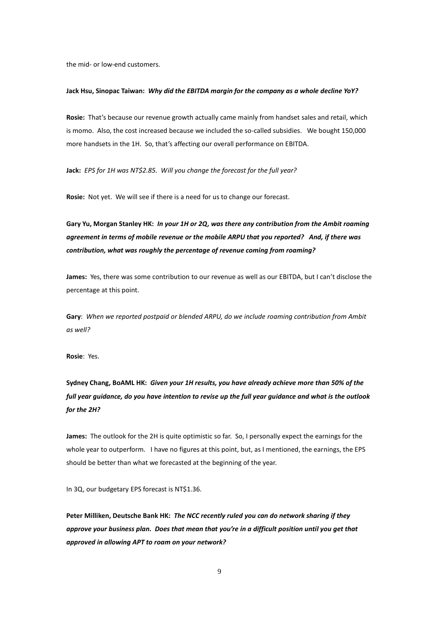the mid- or low-end customers.

#### **Jack Hsu, Sinopac Taiwan:** *Why did the EBITDA margin for the company as a whole decline YoY?*

**Rosie:** That's because our revenue growth actually came mainly from handset sales and retail, which is momo. Also, the cost increased because we included the so-called subsidies. We bought 150,000 more handsets in the 1H. So, that's affecting our overall performance on EBITDA.

**Jack:** *EPS for 1H was NT\$2.85. Will you change the forecast for the full year?*

**Rosie:** Not yet. We will see if there is a need for us to change our forecast.

**Gary Yu, Morgan Stanley HK:** *In your 1H or 2Q, was there any contribution from the Ambit roaming agreement in terms of mobile revenue or the mobile ARPU that you reported? And, if there was contribution, what was roughly the percentage of revenue coming from roaming?*

**James:** Yes, there was some contribution to our revenue as well as our EBITDA, but I can't disclose the percentage at this point.

**Gary**: *When we reported postpaid or blended ARPU, do we include roaming contribution from Ambit as well?*

**Rosie**: Yes.

**Sydney Chang, BoAML HK:** *Given your 1H results, you have already achieve more than 50% of the full year guidance, do you have intention to revise up the full year guidance and what is the outlook for the 2H?*

**James:** The outlook for the 2H is quite optimistic so far. So, I personally expect the earnings for the whole year to outperform. I have no figures at this point, but, as I mentioned, the earnings, the EPS should be better than what we forecasted at the beginning of the year.

In 3Q, our budgetary EPS forecast is NT\$1.36.

**Peter Milliken, Deutsche Bank HK:** *The NCC recently ruled you can do network sharing if they approve your business plan. Does that mean that you're in a difficult position until you get that approved in allowing APT to roam on your network?*